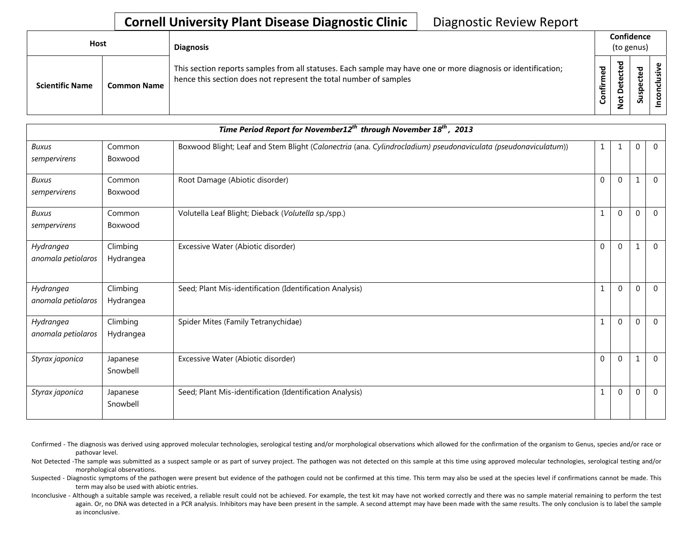## **Cornell University Plant Disease Diagnostic Clinic** | Diagnostic Review Report

| Host |                        |                    | <b>Diagnosis</b>                                                                                                                                                                   | Confidence<br>(to genus) |                                         |                            |                                                             |  |
|------|------------------------|--------------------|------------------------------------------------------------------------------------------------------------------------------------------------------------------------------------|--------------------------|-----------------------------------------|----------------------------|-------------------------------------------------------------|--|
|      | <b>Scientific Name</b> | <b>Common Name</b> | This section reports samples from all statuses. Each sample may have one or more diagnosis or identification;<br>hence this section does not represent the total number of samples | ᄝ<br>Ē<br>.≒<br>Confi    | ਠ<br>u<br>$\Omega$<br>ى<br>$\circ$<br>- | ਠ<br>ပ<br>요<br>ഇ<br>-<br>Ō | $\mathbf{\omega}$<br>usiv<br>᠊ᠣ<br>$\overline{\phantom{0}}$ |  |

| Time Period Report for November12 <sup>th</sup> through November 18 <sup>th</sup> , 2013 |                       |                                                                                                                |              |              |              |                |
|------------------------------------------------------------------------------------------|-----------------------|----------------------------------------------------------------------------------------------------------------|--------------|--------------|--------------|----------------|
| <b>Buxus</b><br>sempervirens                                                             | Common<br>Boxwood     | Boxwood Blight; Leaf and Stem Blight (Calonectria (ana. Cylindrocladium) pseudonaviculata (pseudonaviculatum)) | 1            |              | $\mathbf 0$  | $\overline{0}$ |
| <b>Buxus</b><br>sempervirens                                                             | Common<br>Boxwood     | Root Damage (Abiotic disorder)                                                                                 | $\mathbf{0}$ | $\theta$     | $\mathbf{1}$ | $\overline{0}$ |
| Buxus<br>sempervirens                                                                    | Common<br>Boxwood     | Volutella Leaf Blight; Dieback (Volutella sp./spp.)                                                            | $\mathbf{1}$ | $\mathbf{0}$ | $\mathbf{0}$ | $\mathbf 0$    |
| Hydrangea<br>anomala petiolaros                                                          | Climbing<br>Hydrangea | Excessive Water (Abiotic disorder)                                                                             | $\mathbf 0$  | $\mathbf 0$  | $\mathbf{1}$ | $\mathbf 0$    |
| Hydrangea<br>anomala petiolaros                                                          | Climbing<br>Hydrangea | Seed; Plant Mis-identification (Identification Analysis)                                                       | 1            | $\Omega$     | $\mathbf 0$  | $\overline{0}$ |
| Hydrangea<br>anomala petiolaros                                                          | Climbing<br>Hydrangea | Spider Mites (Family Tetranychidae)                                                                            |              | $\Omega$     | $\Omega$     | $\Omega$       |
| Styrax japonica                                                                          | Japanese<br>Snowbell  | Excessive Water (Abiotic disorder)                                                                             | $\mathbf{0}$ | $\Omega$     | $\mathbf{1}$ | $\mathbf 0$    |
| Styrax japonica                                                                          | Japanese<br>Snowbell  | Seed; Plant Mis-identification (Identification Analysis)                                                       | 1            | $\Omega$     | $\mathbf{0}$ | $\Omega$       |

Confirmed - The diagnosis was derived using approved molecular technologies, serological testing and/or morphological observations which allowed for the confirmation of the organism to Genus, species and/or race or pathovar level.

Not Detected -The sample was submitted as a suspect sample or as part of survey project. The pathogen was not detected on this sample at this time using approved molecular technologies, serological testing and/or morphological observations.

Suspected - Diagnostic symptoms of the pathogen were present but evidence of the pathogen could not be confirmed at this time. This term may also be used at the species level if confirmations cannot be made. This term may also be used with abiotic entries.

Inconclusive - Although a suitable sample was received, a reliable result could not be achieved. For example, the test kit may have not worked correctly and there was no sample material remaining to perform the test again. Or, no DNA was detected in a PCR analysis. Inhibitors may have been present in the sample. A second attempt may have been made with the same results. The only conclusion is to label the sample as inconclusive.